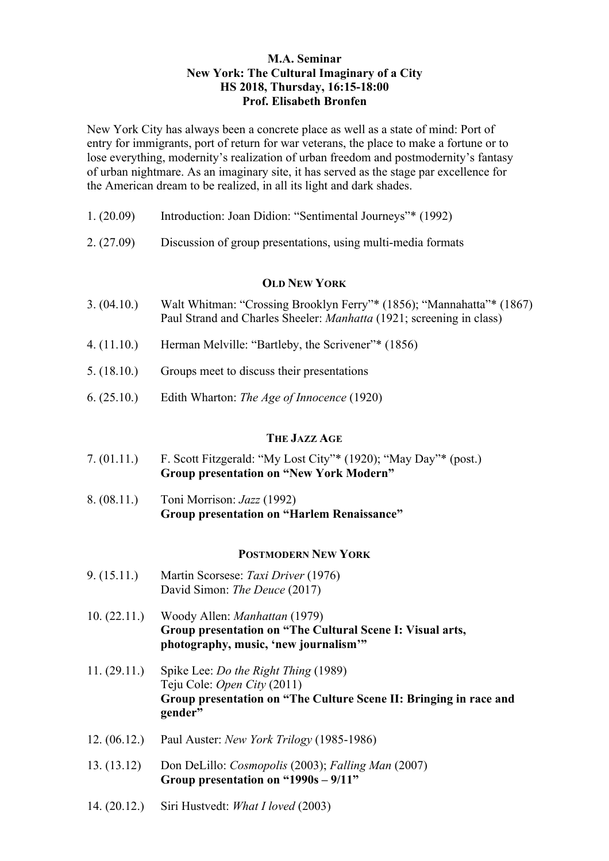## **M.A. Seminar New York: The Cultural Imaginary of a City HS 2018, Thursday, 16:15-18:00 Prof. Elisabeth Bronfen**

New York City has always been a concrete place as well as a state of mind: Port of entry for immigrants, port of return for war veterans, the place to make a fortune or to lose everything, modernity's realization of urban freedom and postmodernity's fantasy of urban nightmare. As an imaginary site, it has served as the stage par excellence for the American dream to be realized, in all its light and dark shades.

| 1. (20.09) | Introduction: Joan Didion: "Sentimental Journeys"* (1992) |  |  |
|------------|-----------------------------------------------------------|--|--|
|            |                                                           |  |  |

2. (27.09) Discussion of group presentations, using multi-media formats

#### **OLD NEW YORK**

- 3. (04.10.) Walt Whitman: "Crossing Brooklyn Ferry"\* (1856); "Mannahatta"\* (1867) Paul Strand and Charles Sheeler: *Manhatta* (1921; screening in class)
- 4. (11.10.) Herman Melville: "Bartleby, the Scrivener"\* (1856)
- 5. (18.10.) Groups meet to discuss their presentations
- 6. (25.10.) Edith Wharton: *The Age of Innocence* (1920)

### **THE JAZZ AGE**

- 7. (01.11.) F. Scott Fitzgerald: "My Lost City"\* (1920); "May Day"\* (post.) **Group presentation on "New York Modern"**
- 8. (08.11.) Toni Morrison: *Jazz* (1992) **Group presentation on "Harlem Renaissance"**

### **POSTMODERN NEW YORK**

- 9. (15.11.) Martin Scorsese: *Taxi Driver* (1976) David Simon: *The Deuce* (2017)
- 10. (22.11.) Woody Allen: *Manhattan* (1979) **Group presentation on "The Cultural Scene I: Visual arts, photography, music, 'new journalism'"**
- 11. (29.11.) Spike Lee: *Do the Right Thing* (1989) Teju Cole: *Open City* (2011) **Group presentation on "The Culture Scene II: Bringing in race and gender"**
- 12. (06.12.) Paul Auster: *New York Trilogy* (1985-1986)
- 13. (13.12) Don DeLillo: *Cosmopolis* (2003); *Falling Man* (2007) **Group presentation on "1990s – 9/11"**
- 14. (20.12.) Siri Hustvedt: *What I loved* (2003)